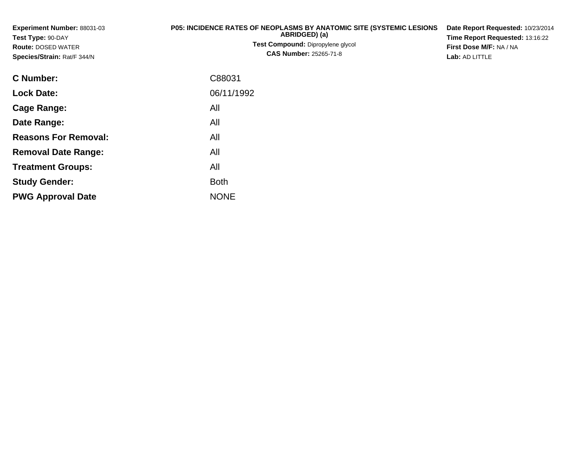| Experiment Number: 88031-03<br>Test Type: 90-DAY<br><b>Route: DOSED WATER</b><br>Species/Strain: Rat/F 344/N | P05: INCIDENCE RATES OF NEOPLASMS BY ANATOMIC SITE (SYSTEMIC LESIONS<br>ABRIDGED) (a)<br>Test Compound: Dipropylene glycol<br><b>CAS Number: 25265-71-8</b> | Date Report Requested: 10/23/2014<br>Time Report Requested: 13:16:22<br>First Dose M/F: NA / NA<br>Lab: AD LITTLE |  |  |  |
|--------------------------------------------------------------------------------------------------------------|-------------------------------------------------------------------------------------------------------------------------------------------------------------|-------------------------------------------------------------------------------------------------------------------|--|--|--|
| C Number:                                                                                                    | C88031                                                                                                                                                      |                                                                                                                   |  |  |  |
| <b>Lock Date:</b>                                                                                            | 06/11/1992                                                                                                                                                  |                                                                                                                   |  |  |  |
| <b>Cage Range:</b>                                                                                           | All                                                                                                                                                         |                                                                                                                   |  |  |  |
| Date Range:                                                                                                  | All                                                                                                                                                         |                                                                                                                   |  |  |  |
| <b>Reasons For Removal:</b>                                                                                  | All                                                                                                                                                         |                                                                                                                   |  |  |  |
| <b>Removal Date Range:</b>                                                                                   | All                                                                                                                                                         |                                                                                                                   |  |  |  |
| <b>Treatment Groups:</b>                                                                                     | All                                                                                                                                                         |                                                                                                                   |  |  |  |
| <b>Study Gender:</b>                                                                                         | <b>Both</b>                                                                                                                                                 |                                                                                                                   |  |  |  |

e NONE

**PWG Approval Date**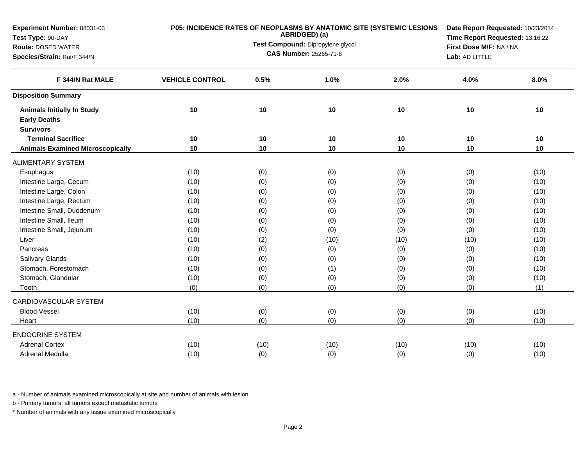| Experiment Number: 88031-03<br>Test Type: 90-DAY |                        |      | ABRIDGED) (a)                     | P05: INCIDENCE RATES OF NEOPLASMS BY ANATOMIC SITE (SYSTEMIC LESIONS |                |                                                                                                                                                                                                                                                                                                                                                                                        |  |
|--------------------------------------------------|------------------------|------|-----------------------------------|----------------------------------------------------------------------|----------------|----------------------------------------------------------------------------------------------------------------------------------------------------------------------------------------------------------------------------------------------------------------------------------------------------------------------------------------------------------------------------------------|--|
| <b>Route: DOSED WATER</b>                        |                        |      | Test Compound: Dipropylene glycol |                                                                      |                |                                                                                                                                                                                                                                                                                                                                                                                        |  |
| Species/Strain: Rat/F 344/N                      |                        |      | <b>CAS Number: 25265-71-8</b>     |                                                                      | Lab: AD LITTLE | Date Report Requested: 10/23/2014<br>Time Report Requested: 13:16:22<br>First Dose M/F: NA / NA<br>4.0%<br>8.0%<br>10<br>$10$<br>10<br>10<br>10<br>10<br>(0)<br>(10)<br>(0)<br>(10)<br>(0)<br>(10)<br>(0)<br>(10)<br>(0)<br>(10)<br>(0)<br>(10)<br>(0)<br>(10)<br>(10)<br>(10)<br>(0)<br>(10)<br>(0)<br>(10)<br>(0)<br>(10)<br>(0)<br>(10)<br>(0)<br>(1)<br>(10)<br>(0)<br>(0)<br>(10) |  |
|                                                  |                        |      |                                   |                                                                      |                |                                                                                                                                                                                                                                                                                                                                                                                        |  |
| F 344/N Rat MALE                                 | <b>VEHICLE CONTROL</b> | 0.5% | 1.0%                              | 2.0%                                                                 |                |                                                                                                                                                                                                                                                                                                                                                                                        |  |
| <b>Disposition Summary</b>                       |                        |      |                                   |                                                                      |                |                                                                                                                                                                                                                                                                                                                                                                                        |  |
| <b>Animals Initially In Study</b>                | 10                     | 10   | 10                                | 10                                                                   |                |                                                                                                                                                                                                                                                                                                                                                                                        |  |
| <b>Early Deaths</b>                              |                        |      |                                   |                                                                      |                |                                                                                                                                                                                                                                                                                                                                                                                        |  |
| <b>Survivors</b>                                 |                        |      |                                   |                                                                      |                |                                                                                                                                                                                                                                                                                                                                                                                        |  |
| <b>Terminal Sacrifice</b>                        | 10                     | 10   | 10                                | 10                                                                   |                |                                                                                                                                                                                                                                                                                                                                                                                        |  |
| <b>Animals Examined Microscopically</b>          | 10                     | 10   | 10                                | 10                                                                   |                |                                                                                                                                                                                                                                                                                                                                                                                        |  |
| <b>ALIMENTARY SYSTEM</b>                         |                        |      |                                   |                                                                      |                |                                                                                                                                                                                                                                                                                                                                                                                        |  |
| Esophagus                                        | (10)                   | (0)  | (0)                               | (0)                                                                  |                |                                                                                                                                                                                                                                                                                                                                                                                        |  |
| Intestine Large, Cecum                           | (10)                   | (0)  | (0)                               | (0)                                                                  |                |                                                                                                                                                                                                                                                                                                                                                                                        |  |
| Intestine Large, Colon                           | (10)                   | (0)  | (0)                               | (0)                                                                  |                |                                                                                                                                                                                                                                                                                                                                                                                        |  |
| Intestine Large, Rectum                          | (10)                   | (0)  | (0)                               | (0)                                                                  |                |                                                                                                                                                                                                                                                                                                                                                                                        |  |
| Intestine Small, Duodenum                        | (10)                   | (0)  | (0)                               | (0)                                                                  |                |                                                                                                                                                                                                                                                                                                                                                                                        |  |
| Intestine Small, Ileum                           | (10)                   | (0)  | (0)                               | (0)                                                                  |                |                                                                                                                                                                                                                                                                                                                                                                                        |  |
| Intestine Small, Jejunum                         | (10)                   | (0)  | (0)                               | (0)                                                                  |                |                                                                                                                                                                                                                                                                                                                                                                                        |  |
| Liver                                            | (10)                   | (2)  | (10)                              | (10)                                                                 |                |                                                                                                                                                                                                                                                                                                                                                                                        |  |
| Pancreas                                         | (10)                   | (0)  | (0)                               | (0)                                                                  |                |                                                                                                                                                                                                                                                                                                                                                                                        |  |
| Salivary Glands                                  | (10)                   | (0)  | (0)                               | (0)                                                                  |                |                                                                                                                                                                                                                                                                                                                                                                                        |  |
| Stomach, Forestomach                             | (10)                   | (0)  | (1)                               | (0)                                                                  |                |                                                                                                                                                                                                                                                                                                                                                                                        |  |
| Stomach, Glandular                               | (10)                   | (0)  | (0)                               | (0)                                                                  |                |                                                                                                                                                                                                                                                                                                                                                                                        |  |
| Tooth                                            | (0)                    | (0)  | (0)                               | (0)                                                                  |                |                                                                                                                                                                                                                                                                                                                                                                                        |  |
| CARDIOVASCULAR SYSTEM                            |                        |      |                                   |                                                                      |                |                                                                                                                                                                                                                                                                                                                                                                                        |  |
| <b>Blood Vessel</b>                              | (10)                   | (0)  | (0)                               | (0)                                                                  |                |                                                                                                                                                                                                                                                                                                                                                                                        |  |
| Heart                                            | (10)                   | (0)  | (0)                               | (0)                                                                  |                |                                                                                                                                                                                                                                                                                                                                                                                        |  |
| <b>ENDOCRINE SYSTEM</b>                          |                        |      |                                   |                                                                      |                |                                                                                                                                                                                                                                                                                                                                                                                        |  |
| <b>Adrenal Cortex</b>                            | (10)                   | (10) | (10)                              | (10)                                                                 | (10)           | (10)                                                                                                                                                                                                                                                                                                                                                                                   |  |
| Adrenal Medulla                                  | (10)                   | (0)  | (0)                               | (0)                                                                  | (0)            | (10)                                                                                                                                                                                                                                                                                                                                                                                   |  |

b - Primary tumors: all tumors except metastatic tumors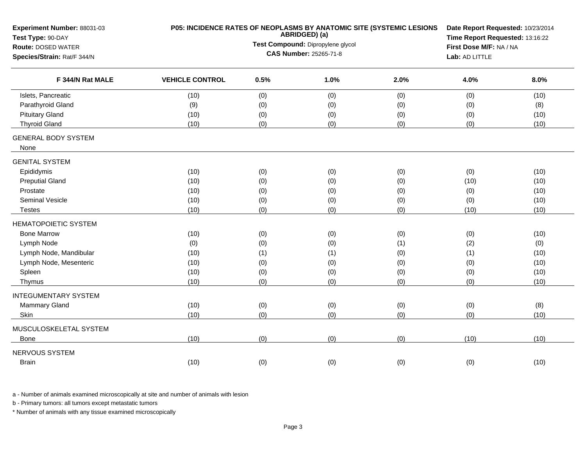| Experiment Number: 88031-03<br>Test Type: 90-DAY |                        |      | ABRIDGED) (a)                     | P05: INCIDENCE RATES OF NEOPLASMS BY ANATOMIC SITE (SYSTEMIC LESIONS | Date Report Requested: 10/23/2014<br>Time Report Requested: 13:16:22 |      |  |
|--------------------------------------------------|------------------------|------|-----------------------------------|----------------------------------------------------------------------|----------------------------------------------------------------------|------|--|
| <b>Route: DOSED WATER</b>                        |                        |      | Test Compound: Dipropylene glycol |                                                                      | First Dose M/F: NA / NA                                              |      |  |
| Species/Strain: Rat/F 344/N<br>F 344/N Rat MALE  |                        |      | CAS Number: 25265-71-8            |                                                                      | Lab: AD LITTLE                                                       |      |  |
|                                                  | <b>VEHICLE CONTROL</b> | 0.5% | 1.0%                              | 2.0%                                                                 | 4.0%                                                                 | 8.0% |  |
| Islets, Pancreatic                               | (10)                   | (0)  | (0)                               | (0)                                                                  | (0)                                                                  | (10) |  |
| Parathyroid Gland                                | (9)                    | (0)  | (0)                               | (0)                                                                  | (0)                                                                  | (8)  |  |
| <b>Pituitary Gland</b>                           | (10)                   | (0)  | (0)                               | (0)                                                                  | (0)                                                                  | (10) |  |
| <b>Thyroid Gland</b>                             | (10)                   | (0)  | (0)                               | (0)                                                                  | (0)                                                                  | (10) |  |
| <b>GENERAL BODY SYSTEM</b><br>None               |                        |      |                                   |                                                                      |                                                                      |      |  |
| <b>GENITAL SYSTEM</b>                            |                        |      |                                   |                                                                      |                                                                      |      |  |
| Epididymis                                       | (10)                   | (0)  | (0)                               | (0)                                                                  | (0)                                                                  | (10) |  |
| <b>Preputial Gland</b>                           | (10)                   | (0)  | (0)                               | (0)                                                                  | (10)                                                                 | (10) |  |
| Prostate                                         | (10)                   | (0)  | (0)                               | (0)                                                                  | (0)                                                                  | (10) |  |
| <b>Seminal Vesicle</b>                           | (10)                   | (0)  | (0)                               | (0)                                                                  | (0)                                                                  | (10) |  |
| <b>Testes</b>                                    | (10)                   | (0)  | (0)                               | (0)                                                                  | (10)                                                                 | (10) |  |
| <b>HEMATOPOIETIC SYSTEM</b>                      |                        |      |                                   |                                                                      |                                                                      |      |  |
| <b>Bone Marrow</b>                               | (10)                   | (0)  | (0)                               | (0)                                                                  | (0)                                                                  | (10) |  |
| Lymph Node                                       | (0)                    | (0)  | (0)                               | (1)                                                                  | (2)                                                                  | (0)  |  |
| Lymph Node, Mandibular                           | (10)                   | (1)  | (1)                               | (0)                                                                  | (1)                                                                  | (10) |  |
| Lymph Node, Mesenteric                           | (10)                   | (0)  | (0)                               | (0)                                                                  | (0)                                                                  | (10) |  |
| Spleen                                           | (10)                   | (0)  | (0)                               | (0)                                                                  | (0)                                                                  | (10) |  |
| Thymus                                           | (10)                   | (0)  | (0)                               | (0)                                                                  | (0)                                                                  | (10) |  |
| <b>INTEGUMENTARY SYSTEM</b>                      |                        |      |                                   |                                                                      |                                                                      |      |  |
| Mammary Gland                                    | (10)                   | (0)  | (0)                               | (0)                                                                  | (0)                                                                  | (8)  |  |
| Skin                                             | (10)                   | (0)  | (0)                               | (0)                                                                  | (0)                                                                  | (10) |  |
| MUSCULOSKELETAL SYSTEM                           |                        |      |                                   |                                                                      |                                                                      |      |  |
| Bone                                             | (10)                   | (0)  | (0)                               | (0)                                                                  | (10)                                                                 | (10) |  |
| NERVOUS SYSTEM                                   |                        |      |                                   |                                                                      |                                                                      |      |  |
| <b>Brain</b>                                     | (10)                   | (0)  | (0)                               | (0)                                                                  | (0)                                                                  | (10) |  |
|                                                  |                        |      |                                   |                                                                      |                                                                      |      |  |

b - Primary tumors: all tumors except metastatic tumors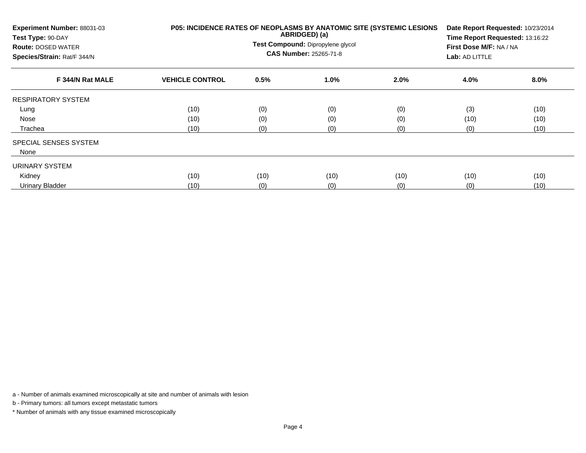| Experiment Number: 88031-03<br>Test Type: 90-DAY<br><b>Route: DOSED WATER</b><br>Species/Strain: Rat/F 344/N | P05: INCIDENCE RATES OF NEOPLASMS BY ANATOMIC SITE (SYSTEMIC LESIONS<br>ABRIDGED) (a)<br>Test Compound: Dipropylene glycol<br><b>CAS Number: 25265-71-8</b> |      |         | Date Report Requested: 10/23/2014<br>Time Report Requested: 13:16:22<br>First Dose M/F: NA / NA<br>Lab: AD LITTLE |      |      |
|--------------------------------------------------------------------------------------------------------------|-------------------------------------------------------------------------------------------------------------------------------------------------------------|------|---------|-------------------------------------------------------------------------------------------------------------------|------|------|
| F 344/N Rat MALE                                                                                             | <b>VEHICLE CONTROL</b>                                                                                                                                      | 0.5% | $1.0\%$ | 2.0%                                                                                                              | 4.0% | 8.0% |
| <b>RESPIRATORY SYSTEM</b>                                                                                    |                                                                                                                                                             |      |         |                                                                                                                   |      |      |
| Lung                                                                                                         | (10)                                                                                                                                                        | (0)  | (0)     | (0)                                                                                                               | (3)  | (10) |
| Nose                                                                                                         | (10)                                                                                                                                                        | (0)  | (0)     | (0)                                                                                                               | (10) | (10) |
| Trachea                                                                                                      | (10)                                                                                                                                                        | (0)  | (0)     | (0)                                                                                                               | (0)  | (10) |
| <b>SPECIAL SENSES SYSTEM</b>                                                                                 |                                                                                                                                                             |      |         |                                                                                                                   |      |      |
| None                                                                                                         |                                                                                                                                                             |      |         |                                                                                                                   |      |      |
| URINARY SYSTEM                                                                                               |                                                                                                                                                             |      |         |                                                                                                                   |      |      |
| Kidney                                                                                                       | (10)                                                                                                                                                        | (10) | (10)    | (10)                                                                                                              | (10) | (10) |
| <b>Urinary Bladder</b>                                                                                       | (10)                                                                                                                                                        | (0)  | (0)     | (0)                                                                                                               | (0)  | (10) |

b - Primary tumors: all tumors except metastatic tumors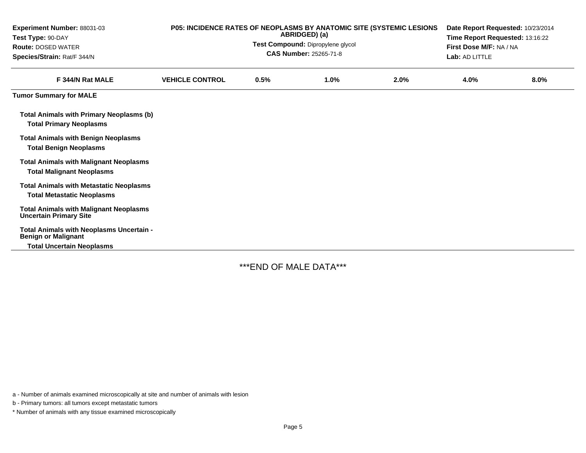| Experiment Number: 88031-03<br>Test Type: 90-DAY<br><b>Route: DOSED WATER</b><br>Species/Strain: Rat/F 344/N | P05: INCIDENCE RATES OF NEOPLASMS BY ANATOMIC SITE (SYSTEMIC LESIONS | Date Report Requested: 10/23/2014<br>Time Report Requested: 13:16:22<br>First Dose M/F: NA / NA<br>Lab: AD LITTLE |      |      |      |      |
|--------------------------------------------------------------------------------------------------------------|----------------------------------------------------------------------|-------------------------------------------------------------------------------------------------------------------|------|------|------|------|
| F 344/N Rat MALE                                                                                             | <b>VEHICLE CONTROL</b>                                               | 0.5%                                                                                                              | 1.0% | 2.0% | 4.0% | 8.0% |
| <b>Tumor Summary for MALE</b>                                                                                |                                                                      |                                                                                                                   |      |      |      |      |
| <b>Total Animals with Primary Neoplasms (b)</b><br><b>Total Primary Neoplasms</b>                            |                                                                      |                                                                                                                   |      |      |      |      |
| <b>Total Animals with Benign Neoplasms</b><br><b>Total Benign Neoplasms</b>                                  |                                                                      |                                                                                                                   |      |      |      |      |
| <b>Total Animals with Malignant Neoplasms</b><br><b>Total Malignant Neoplasms</b>                            |                                                                      |                                                                                                                   |      |      |      |      |
| <b>Total Animals with Metastatic Neoplasms</b><br><b>Total Metastatic Neoplasms</b>                          |                                                                      |                                                                                                                   |      |      |      |      |
| <b>Total Animals with Malignant Neoplasms</b><br><b>Uncertain Primary Site</b>                               |                                                                      |                                                                                                                   |      |      |      |      |
| Total Animals with Neoplasms Uncertain -<br><b>Benign or Malignant</b><br><b>Total Uncertain Neoplasms</b>   |                                                                      |                                                                                                                   |      |      |      |      |

\*\*\*END OF MALE DATA\*\*\*

a - Number of animals examined microscopically at site and number of animals with lesion

b - Primary tumors: all tumors except metastatic tumors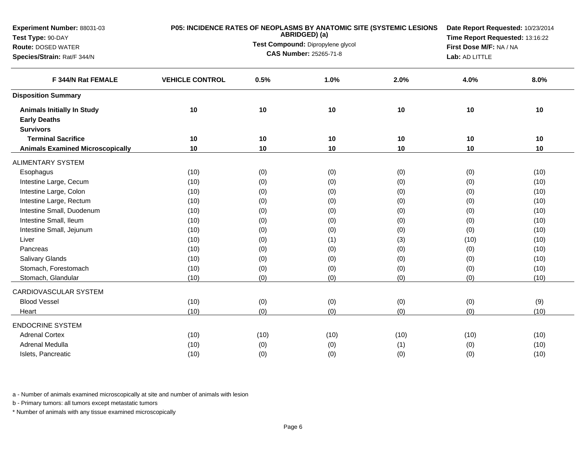| Experiment Number: 88031-03<br>Test Type: 90-DAY |                        |                                                                                                                                                                                              | ABRIDGED) (a) | P05: INCIDENCE RATES OF NEOPLASMS BY ANATOMIC SITE (SYSTEMIC LESIONS | Date Report Requested: 10/23/2014<br>Time Report Requested: 13:16:22 |      |  |
|--------------------------------------------------|------------------------|----------------------------------------------------------------------------------------------------------------------------------------------------------------------------------------------|---------------|----------------------------------------------------------------------|----------------------------------------------------------------------|------|--|
| <b>Route: DOSED WATER</b>                        |                        | First Dose M/F: NA / NA                                                                                                                                                                      |               |                                                                      |                                                                      |      |  |
| Species/Strain: Rat/F 344/N                      |                        | Test Compound: Dipropylene glycol<br><b>CAS Number: 25265-71-8</b><br>Lab: AD LITTLE<br>0.5%<br>1.0%<br>2.0%<br>4.0%<br>10<br>10<br>10<br>10<br>10<br>10<br>10<br>10<br>10<br>10<br>10<br>10 |               |                                                                      |                                                                      |      |  |
| F 344/N Rat FEMALE                               | <b>VEHICLE CONTROL</b> |                                                                                                                                                                                              |               |                                                                      |                                                                      | 8.0% |  |
| <b>Disposition Summary</b>                       |                        |                                                                                                                                                                                              |               |                                                                      |                                                                      |      |  |
| <b>Animals Initially In Study</b>                | 10                     |                                                                                                                                                                                              |               |                                                                      |                                                                      | 10   |  |
| <b>Early Deaths</b>                              |                        |                                                                                                                                                                                              |               |                                                                      |                                                                      |      |  |
| <b>Survivors</b>                                 |                        |                                                                                                                                                                                              |               |                                                                      |                                                                      |      |  |
| <b>Terminal Sacrifice</b>                        | 10                     |                                                                                                                                                                                              |               |                                                                      |                                                                      | 10   |  |
| <b>Animals Examined Microscopically</b>          | 10                     |                                                                                                                                                                                              |               |                                                                      |                                                                      | 10   |  |
| <b>ALIMENTARY SYSTEM</b>                         |                        |                                                                                                                                                                                              |               |                                                                      |                                                                      |      |  |
| Esophagus                                        | (10)                   | (0)                                                                                                                                                                                          | (0)           | (0)                                                                  | (0)                                                                  | (10) |  |
| Intestine Large, Cecum                           | (10)                   | (0)                                                                                                                                                                                          | (0)           | (0)                                                                  | (0)                                                                  | (10) |  |
| Intestine Large, Colon                           | (10)                   | (0)                                                                                                                                                                                          | (0)           | (0)                                                                  | (0)                                                                  | (10) |  |
| Intestine Large, Rectum                          | (10)                   | (0)                                                                                                                                                                                          | (0)           | (0)                                                                  | (0)                                                                  | (10) |  |
| Intestine Small, Duodenum                        | (10)                   | (0)                                                                                                                                                                                          | (0)           | (0)                                                                  | (0)                                                                  | (10) |  |
| Intestine Small, Ileum                           | (10)                   | (0)                                                                                                                                                                                          | (0)           | (0)                                                                  | (0)                                                                  | (10) |  |
| Intestine Small, Jejunum                         | (10)                   | (0)                                                                                                                                                                                          | (0)           | (0)                                                                  | (0)                                                                  | (10) |  |
| Liver                                            | (10)                   | (0)                                                                                                                                                                                          | (1)           | (3)                                                                  | (10)                                                                 | (10) |  |
| Pancreas                                         | (10)                   | (0)                                                                                                                                                                                          | (0)           | (0)                                                                  | (0)                                                                  | (10) |  |
| Salivary Glands                                  | (10)                   | (0)                                                                                                                                                                                          | (0)           | (0)                                                                  | (0)                                                                  | (10) |  |
| Stomach, Forestomach                             | (10)                   | (0)                                                                                                                                                                                          | (0)           | (0)                                                                  | (0)                                                                  | (10) |  |
| Stomach, Glandular                               | (10)                   | (0)                                                                                                                                                                                          | (0)           | (0)                                                                  | (0)                                                                  | (10) |  |
| CARDIOVASCULAR SYSTEM                            |                        |                                                                                                                                                                                              |               |                                                                      |                                                                      |      |  |
| <b>Blood Vessel</b>                              | (10)                   | (0)                                                                                                                                                                                          | (0)           | (0)                                                                  | (0)                                                                  | (9)  |  |
| Heart                                            | (10)                   | (0)                                                                                                                                                                                          | (0)           | (0)                                                                  | (0)                                                                  | (10) |  |
| <b>ENDOCRINE SYSTEM</b>                          |                        |                                                                                                                                                                                              |               |                                                                      |                                                                      |      |  |
| <b>Adrenal Cortex</b>                            | (10)                   | (10)                                                                                                                                                                                         | (10)          | (10)                                                                 | (10)                                                                 | (10) |  |
| Adrenal Medulla                                  | (10)                   | (0)                                                                                                                                                                                          | (0)           | (1)                                                                  | (0)                                                                  | (10) |  |
| Islets, Pancreatic                               | (10)                   | (0)                                                                                                                                                                                          | (0)           | (0)                                                                  | (0)                                                                  | (10) |  |

b - Primary tumors: all tumors except metastatic tumors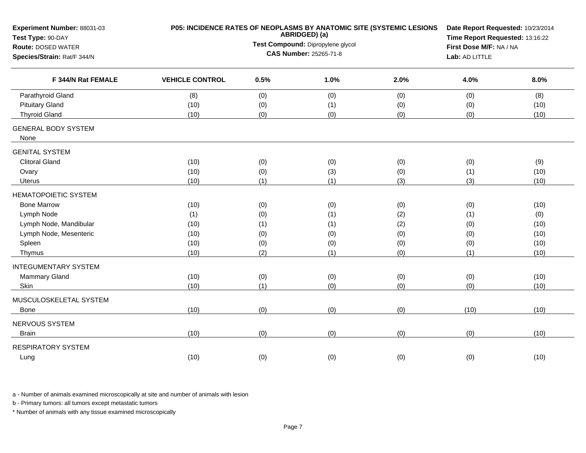| Experiment Number: 88031-03<br>Test Type: 90-DAY |                        |      | ABRIDGED) (a)                     | P05: INCIDENCE RATES OF NEOPLASMS BY ANATOMIC SITE (SYSTEMIC LESIONS | Date Report Requested: 10/23/2014<br>Time Report Requested: 13:16:22 |                                            |  |  |  |
|--------------------------------------------------|------------------------|------|-----------------------------------|----------------------------------------------------------------------|----------------------------------------------------------------------|--------------------------------------------|--|--|--|
| <b>Route: DOSED WATER</b>                        |                        |      | Test Compound: Dipropylene glycol |                                                                      | First Dose M/F: NA / NA                                              | 8.0%<br>(8)<br>(10)<br>(10)<br>(9)<br>(10) |  |  |  |
| Species/Strain: Rat/F 344/N                      |                        |      | CAS Number: 25265-71-8            | Lab: AD LITTLE                                                       |                                                                      |                                            |  |  |  |
| F 344/N Rat FEMALE                               | <b>VEHICLE CONTROL</b> | 0.5% | 1.0%                              | 2.0%                                                                 | 4.0%                                                                 |                                            |  |  |  |
| Parathyroid Gland                                | (8)                    | (0)  | (0)                               | (0)                                                                  | (0)                                                                  |                                            |  |  |  |
| <b>Pituitary Gland</b>                           | (10)                   | (0)  | (1)                               | (0)                                                                  | (0)                                                                  |                                            |  |  |  |
| <b>Thyroid Gland</b>                             | (10)                   | (0)  | (0)                               | (0)                                                                  | (0)                                                                  |                                            |  |  |  |
| <b>GENERAL BODY SYSTEM</b><br>None               |                        |      |                                   |                                                                      |                                                                      |                                            |  |  |  |
| <b>GENITAL SYSTEM</b>                            |                        |      |                                   |                                                                      |                                                                      |                                            |  |  |  |
| <b>Clitoral Gland</b>                            | (10)                   | (0)  | (0)                               | (0)                                                                  | (0)                                                                  |                                            |  |  |  |
| Ovary                                            | (10)                   | (0)  | (3)                               | (0)                                                                  | (1)                                                                  |                                            |  |  |  |
| Uterus                                           | (10)                   | (1)  | (1)                               | (3)                                                                  | (3)                                                                  | (10)                                       |  |  |  |
| <b>HEMATOPOIETIC SYSTEM</b>                      |                        |      |                                   |                                                                      |                                                                      |                                            |  |  |  |
| <b>Bone Marrow</b>                               | (10)                   | (0)  | (0)                               | (0)                                                                  | (0)                                                                  | (10)                                       |  |  |  |
| Lymph Node                                       | (1)                    | (0)  | (1)                               | (2)                                                                  | (1)                                                                  | (0)                                        |  |  |  |
| Lymph Node, Mandibular                           | (10)                   | (1)  | (1)                               | (2)                                                                  | (0)                                                                  | (10)                                       |  |  |  |
| Lymph Node, Mesenteric                           | (10)                   | (0)  | (0)                               | (0)                                                                  | (0)                                                                  | (10)                                       |  |  |  |
| Spleen                                           | (10)                   | (0)  | (0)                               | (0)                                                                  | (0)                                                                  | (10)                                       |  |  |  |
| Thymus                                           | (10)                   | (2)  | (1)                               | (0)                                                                  | (1)                                                                  | (10)                                       |  |  |  |
| <b>INTEGUMENTARY SYSTEM</b>                      |                        |      |                                   |                                                                      |                                                                      |                                            |  |  |  |
| <b>Mammary Gland</b>                             | (10)                   | (0)  | (0)                               | (0)                                                                  | (0)                                                                  | (10)                                       |  |  |  |
| Skin                                             | (10)                   | (1)  | (0)                               | (0)                                                                  | (0)                                                                  | (10)                                       |  |  |  |
| MUSCULOSKELETAL SYSTEM                           |                        |      |                                   |                                                                      |                                                                      |                                            |  |  |  |
| Bone                                             | (10)                   | (0)  | (0)                               | (0)                                                                  | (10)                                                                 | (10)                                       |  |  |  |
| NERVOUS SYSTEM                                   |                        |      |                                   |                                                                      |                                                                      |                                            |  |  |  |
| <b>Brain</b>                                     | (10)                   | (0)  | (0)                               | (0)                                                                  | (0)                                                                  | (10)                                       |  |  |  |
| <b>RESPIRATORY SYSTEM</b>                        |                        |      |                                   |                                                                      |                                                                      |                                            |  |  |  |
| Lung                                             | (10)                   | (0)  | (0)                               | (0)                                                                  | (0)                                                                  | (10)                                       |  |  |  |

b - Primary tumors: all tumors except metastatic tumors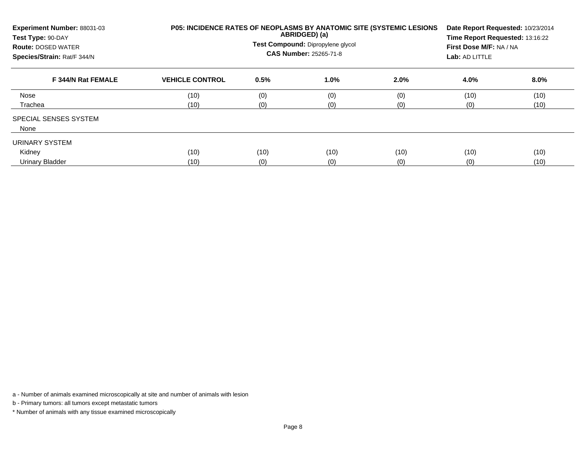| Experiment Number: 88031-03<br>Test Type: 90-DAY<br><b>Route: DOSED WATER</b><br>Species/Strain: Rat/F 344/N |                        |      | ABRIDGED) (a)<br>Test Compound: Dipropylene glycol<br>CAS Number: 25265-71-8 | <b>P05: INCIDENCE RATES OF NEOPLASMS BY ANATOMIC SITE (SYSTEMIC LESIONS)</b> | Date Report Requested: 10/23/2014<br>Time Report Requested: 13:16:22<br>First Dose M/F: NA / NA<br>Lab: AD LITTLE |      |  |  |
|--------------------------------------------------------------------------------------------------------------|------------------------|------|------------------------------------------------------------------------------|------------------------------------------------------------------------------|-------------------------------------------------------------------------------------------------------------------|------|--|--|
| F 344/N Rat FEMALE                                                                                           | <b>VEHICLE CONTROL</b> | 0.5% | 1.0%                                                                         | 2.0%                                                                         | 4.0%                                                                                                              | 8.0% |  |  |
| Nose                                                                                                         | (10)                   | (0)  | (0)                                                                          | (0)                                                                          | (10)                                                                                                              | (10) |  |  |
| Trachea                                                                                                      | (10)                   | (0)  | (0)                                                                          | (0)                                                                          | (0)                                                                                                               | (10) |  |  |
| <b>SPECIAL SENSES SYSTEM</b><br>None                                                                         |                        |      |                                                                              |                                                                              |                                                                                                                   |      |  |  |
| URINARY SYSTEM                                                                                               |                        |      |                                                                              |                                                                              |                                                                                                                   |      |  |  |
| Kidney                                                                                                       | (10)                   | (10) | (10)                                                                         | (10)                                                                         | (10)                                                                                                              | (10) |  |  |
| Urinary Bladder                                                                                              | (10)                   | (0)  | (0)                                                                          | (0)                                                                          | (0)                                                                                                               | (10) |  |  |

b - Primary tumors: all tumors except metastatic tumors